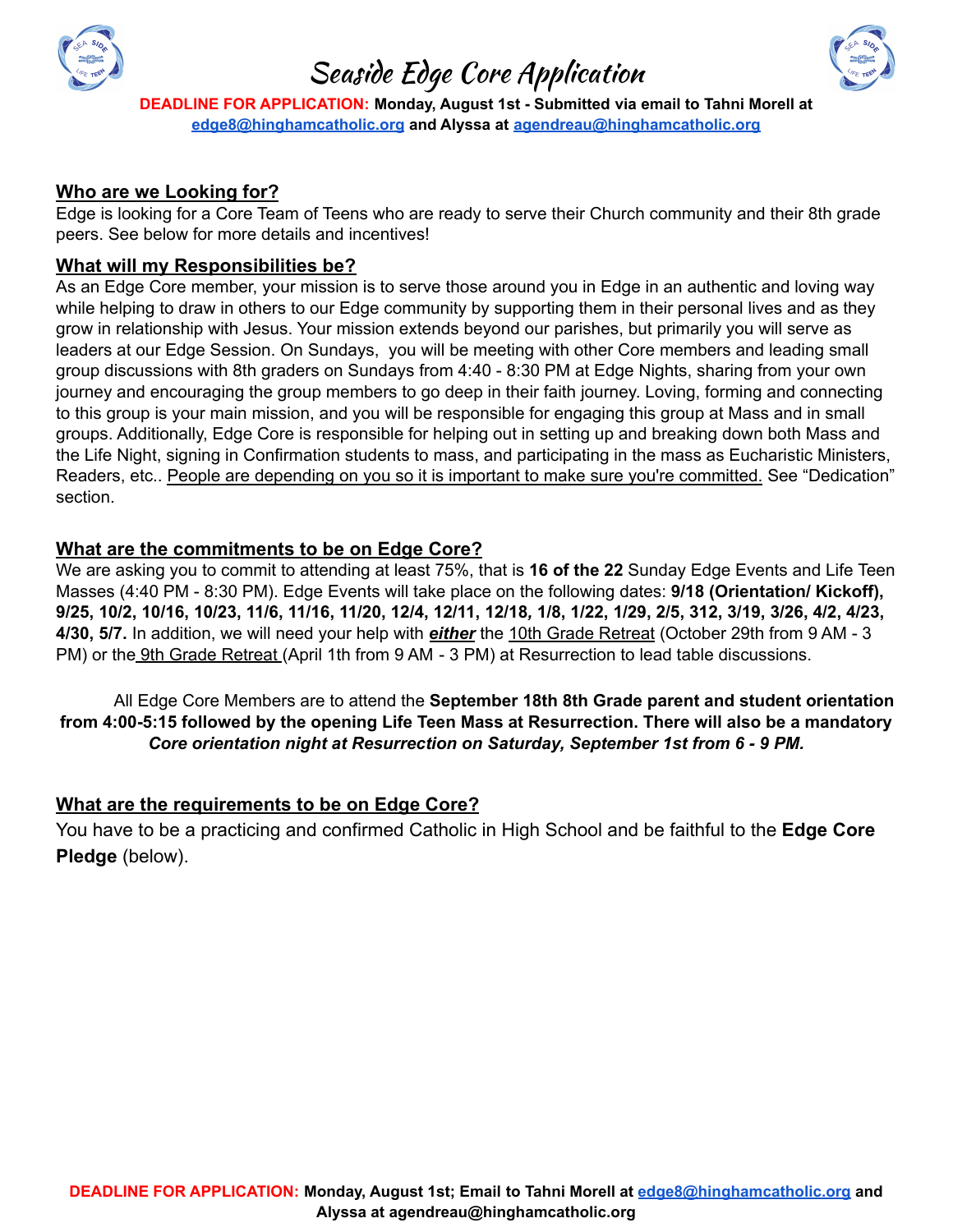

## Seaside Edge Core Application



**DEADLINE FOR APPLICATION: Monday, August 1st - Submitted via email to Tahni Morell at [edge8@hinghamcatholic.org](mailto:edge8@hinghamcatholic.org) and Alyssa at [agendreau@hinghamcatholic.org](mailto:agendreau@hinghamcatholic.org)**

#### **Who are we Looking for?**

Edge is looking for a Core Team of Teens who are ready to serve their Church community and their 8th grade peers. See below for more details and incentives!

#### **What will my Responsibilities be?**

As an Edge Core member, your mission is to serve those around you in Edge in an authentic and loving way while helping to draw in others to our Edge community by supporting them in their personal lives and as they grow in relationship with Jesus. Your mission extends beyond our parishes, but primarily you will serve as leaders at our Edge Session. On Sundays, you will be meeting with other Core members and leading small group discussions with 8th graders on Sundays from 4:40 - 8:30 PM at Edge Nights, sharing from your own journey and encouraging the group members to go deep in their faith journey. Loving, forming and connecting to this group is your main mission, and you will be responsible for engaging this group at Mass and in small groups. Additionally, Edge Core is responsible for helping out in setting up and breaking down both Mass and the Life Night, signing in Confirmation students to mass, and participating in the mass as Eucharistic Ministers, Readers, etc.. People are depending on you so it is important to make sure you're committed. See "Dedication" section.

#### **What are the commitments to be on Edge Core?**

We are asking you to commit to attending at least 75%, that is **16 of the 22** Sunday Edge Events and Life Teen Masses (4:40 PM - 8:30 PM). Edge Events will take place on the following dates: **9/18 (Orientation/ Kickoff),** 9/25, 10/2, 10/16, 10/23, 11/6, 11/16, 11/20, 12/4, 12/11, 12/18, 1/8, 1/22, 1/29, 2/5, 312, 3/19, 3/26, 4/2, 4/23, **4/30, 5/7.** In addition, we will need your help with *either* the 10th Grade Retreat (October 29th from 9 AM - 3 PM) or the 9th Grade Retreat (April 1th from 9 AM - 3 PM) at Resurrection to lead table discussions.

All Edge Core Members are to attend the **September 18th 8th Grade parent and student orientation from 4:00-5:15 followed by the opening Life Teen Mass at Resurrection. There will also be a mandatory** *Core orientation night at Resurrection on Saturday, September 1st from 6 - 9 PM.*

#### **What are the requirements to be on Edge Core?**

You have to be a practicing and confirmed Catholic in High School and be faithful to the **Edge Core Pledge** (below).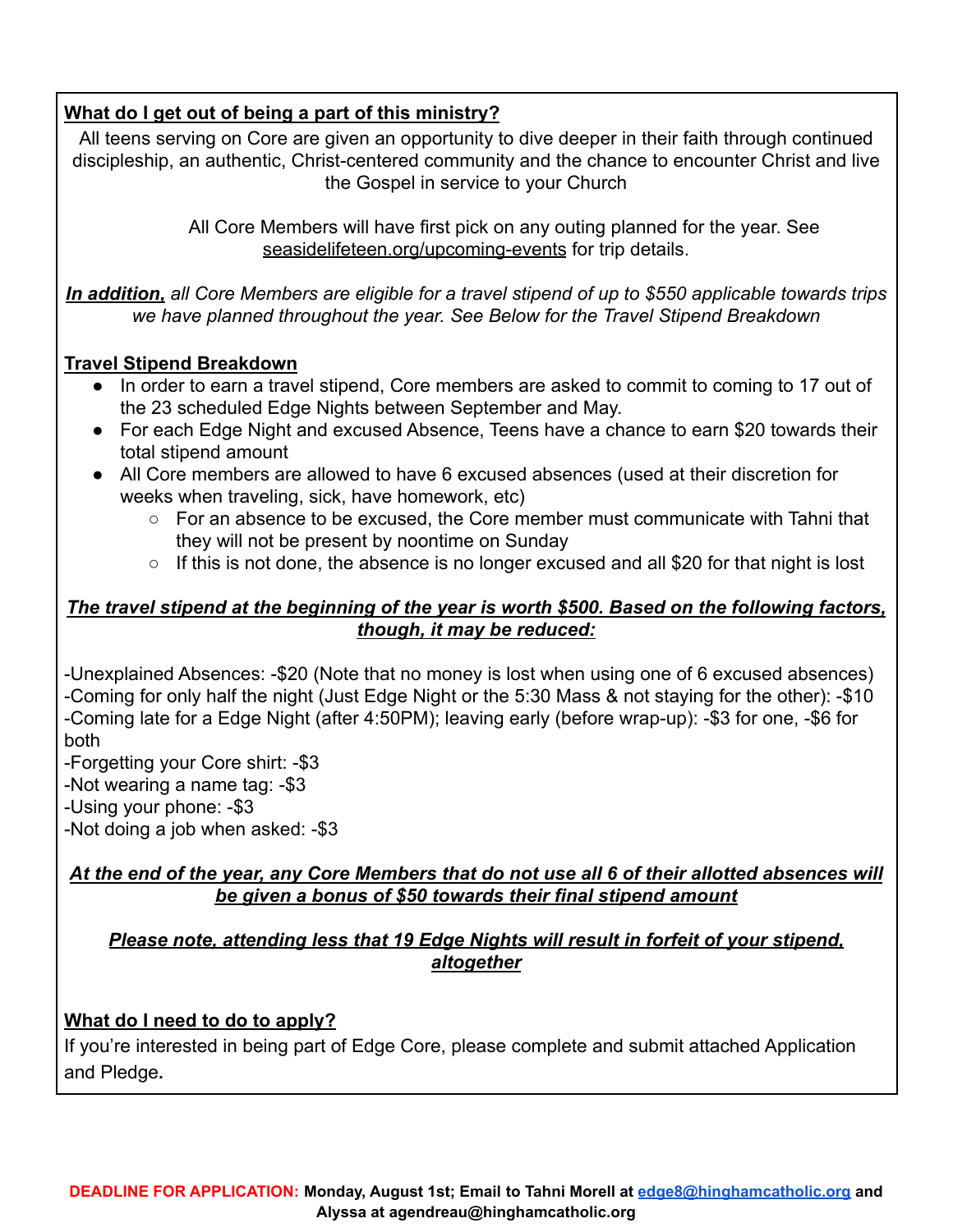## **What do I get out of being a part of this ministry?**

All teens serving on Core are given an opportunity to dive deeper in their faith through continued discipleship, an authentic, Christ-centered community and the chance to encounter Christ and live the Gospel in service to your Church

> All Core Members will have first pick on any outing planned for the year. See seasidelifeteen.org/upcoming-events for trip details.

*In addition, all Core Members are eligible for a travel stipend of up to \$550 applicable towards trips we have planned throughout the year. See Below for the Travel Stipend Breakdown*

## **Travel Stipend Breakdown**

- In order to earn a travel stipend, Core members are asked to commit to coming to 17 out of the 23 scheduled Edge Nights between September and May.
- For each Edge Night and excused Absence, Teens have a chance to earn \$20 towards their total stipend amount
- All Core members are allowed to have 6 excused absences (used at their discretion for weeks when traveling, sick, have homework, etc)
	- For an absence to be excused, the Core member must communicate with Tahni that they will not be present by noontime on Sunday
	- $\circ$  If this is not done, the absence is no longer excused and all \$20 for that night is lost

## *The travel stipend at the beginning of the year is worth \$500. Based on the following factors, though, it may be reduced:*

-Unexplained Absences: -\$20 (Note that no money is lost when using one of 6 excused absences) -Coming for only half the night (Just Edge Night or the 5:30 Mass & not staying for the other): -\$10 -Coming late for a Edge Night (after 4:50PM); leaving early (before wrap-up): -\$3 for one, -\$6 for both

-Forgetting your Core shirt: -\$3

-Not wearing a name tag: -\$3

-Using your phone: -\$3

-Not doing a job when asked: -\$3

### *At the end of the year, any Core Members that do not use all 6 of their allotted absences will be given a bonus of \$50 towards their final stipend amount*

### *Please note, attending less that 19 Edge Nights will result in forfeit of your stipend, altogether*

## **What do I need to do to apply?**

If you're interested in being part of Edge Core, please complete and submit attached Application and Pledge**.**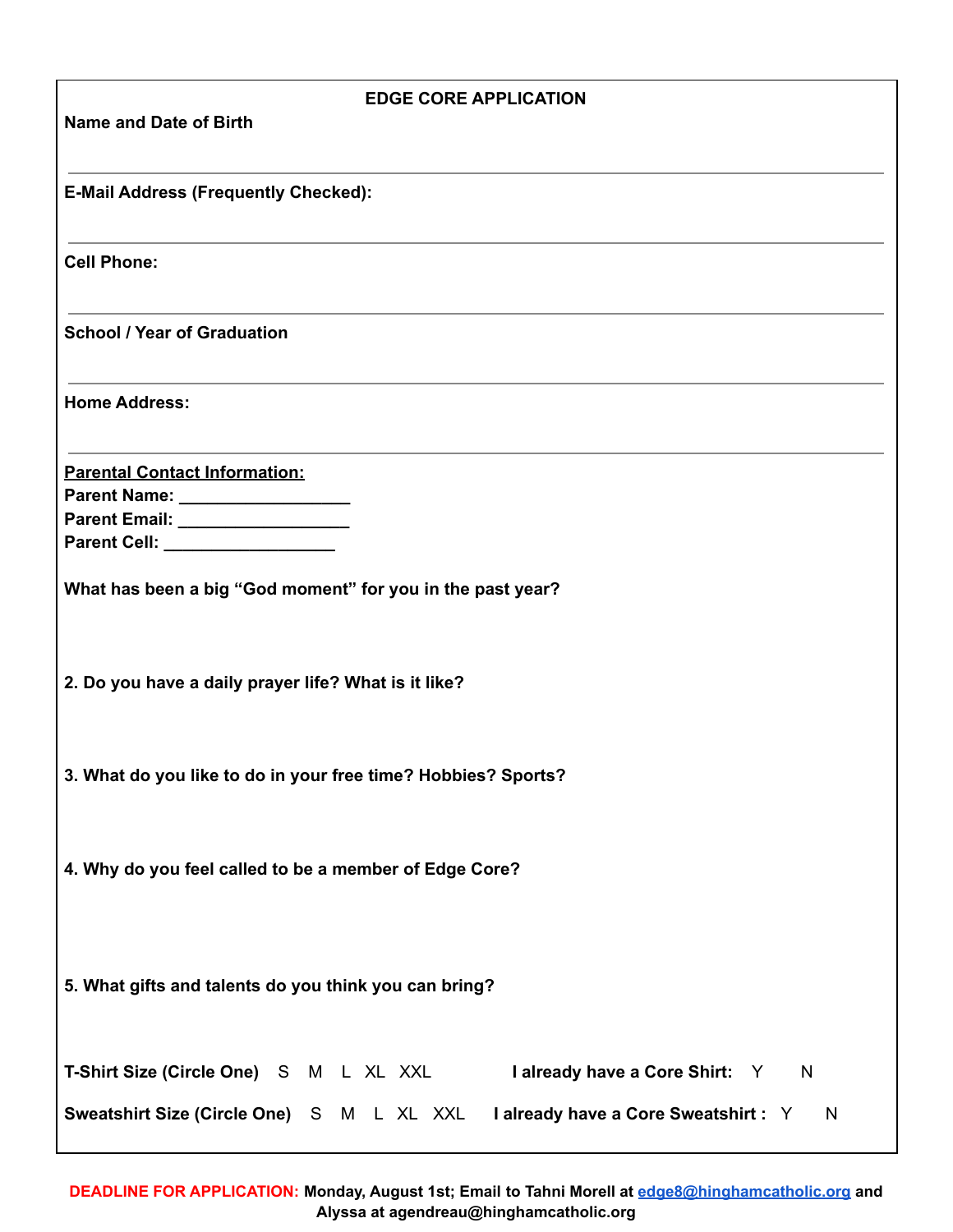| <b>EDGE CORE APPLICATION</b>                                                        |
|-------------------------------------------------------------------------------------|
| <b>Name and Date of Birth</b>                                                       |
|                                                                                     |
| <b>E-Mail Address (Frequently Checked):</b>                                         |
|                                                                                     |
| <b>Cell Phone:</b>                                                                  |
|                                                                                     |
| <b>School / Year of Graduation</b>                                                  |
|                                                                                     |
| <b>Home Address:</b>                                                                |
|                                                                                     |
| <b>Parental Contact Information:</b>                                                |
| Parent Name: ___________________                                                    |
| Parent Email: ___________________                                                   |
| Parent Cell: __________________                                                     |
| What has been a big "God moment" for you in the past year?                          |
|                                                                                     |
|                                                                                     |
| 2. Do you have a daily prayer life? What is it like?                                |
|                                                                                     |
|                                                                                     |
| 3. What do you like to do in your free time? Hobbies? Sports?                       |
|                                                                                     |
|                                                                                     |
| 4. Why do you feel called to be a member of Edge Core?                              |
|                                                                                     |
|                                                                                     |
|                                                                                     |
| 5. What gifts and talents do you think you can bring?                               |
|                                                                                     |
|                                                                                     |
| T-Shirt Size (Circle One) S M L XL XXL<br>I already have a Core Shirt: Y N          |
| Sweatshirt Size (Circle One) S M L XL XXL I already have a Core Sweatshirt : Y<br>N |
|                                                                                     |

**DEADLINE FOR APPLICATION: Monday, August 1st; Email to Tahni Morell at [edge8@hinghamcatholic.org](mailto:edge8@hinghamcatholic.org) and Alyssa at agendreau@hinghamcatholic.org**